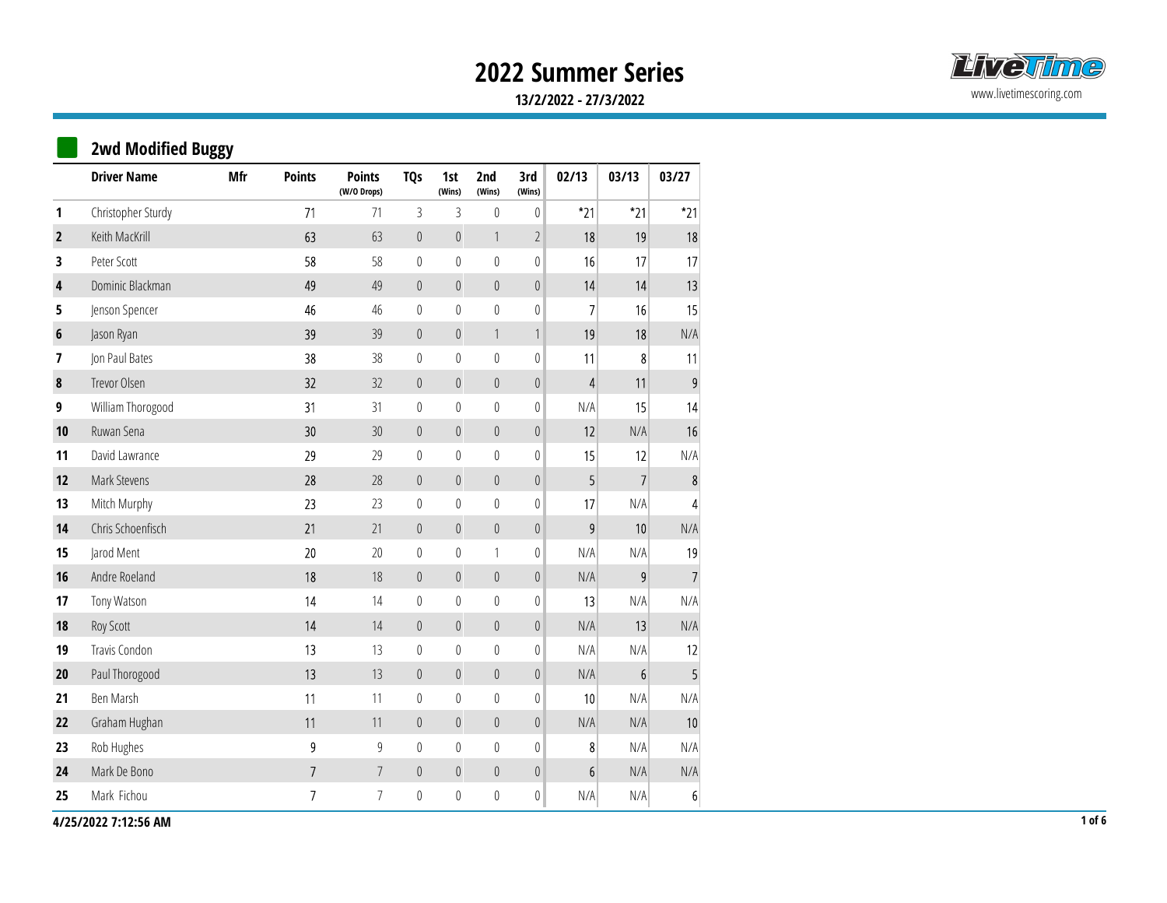

|                  |                           |     |                |                              |                |                  |                  |                 | <b>2022 Summer Series</b> |                  |                         |
|------------------|---------------------------|-----|----------------|------------------------------|----------------|------------------|------------------|-----------------|---------------------------|------------------|-------------------------|
|                  |                           |     |                |                              |                |                  |                  |                 | 13/2/2022 - 27/3/2022     |                  |                         |
|                  | <b>2wd Modified Buggy</b> |     |                |                              |                |                  |                  |                 |                           |                  |                         |
|                  | <b>Driver Name</b>        | Mfr | <b>Points</b>  | <b>Points</b><br>(W/O Drops) | <b>TQs</b>     | 1st<br>(Wins)    | 2nd<br>(Wins)    | 3rd<br>(Wins)   | 02/13                     | 03/13            | 03/27                   |
| 1                | Christopher Sturdy        |     | 71             | 71                           | $\mathfrak{Z}$ | 3                | $\mathbf 0$      | $\mathbf 0$     | $*21$                     | $*21$            | $*21$                   |
| $\overline{2}$   | Keith MacKrill            |     | 63             | 63                           | $\mathbf{0}$   | $\mathbb O$      | $\overline{1}$   | $\overline{2}$  | 18                        | 19               | 18                      |
| 3                | Peter Scott               |     | 58             | 58                           | $\mathbf 0$    | $\mathbb{0}$     | $\mathbb{0}$     | $\mathbf 0$     | 16                        | 17               | 17                      |
| $\pmb{4}$        | Dominic Blackman          |     | 49             | 49                           | $\mathbf{0}$   | $\overline{0}$   | $\theta$         | $\mathbb O$     | 14                        | 14               | 13                      |
| 5                | Jenson Spencer            |     | 46             | 46                           | $\mathbf 0$    | $\mathbf 0$      | $\mathbb{0}$     | $\mathbf 0$     | $\overline{\phantom{a}}$  | 16               | 15                      |
| $\boldsymbol{6}$ | Jason Ryan                |     | 39             | 39                           | $\mathbf{0}$   | $\mathbb O$      | $\left  \right $ |                 | 19                        | 18               | N/A                     |
| 7                | Jon Paul Bates            |     | 38             | 38                           | $\mathbf 0$    | $\mathbb O$      | $\mathbb O$      | $\mathbf 0$     | 11                        | $\boldsymbol{8}$ | 11                      |
| $\pmb{8}$        | Trevor Olsen              |     | 32             | 32                           | $\mathbf{0}$   | $\overline{0}$   | $\mathbf 0$      | $\mathbb O$     | $\overline{4}$            | 11               | $\boldsymbol{9}$        |
| 9                | William Thorogood         |     | 31             | 31                           | $\mathbf 0$    | $\mathbf 0$      | $\boldsymbol{0}$ | $\mathbf 0$     | N/A                       | 15               | 14                      |
| 10               | Ruwan Sena                |     | 30             | $30\,$                       | $\mathbf{0}$   | $\overline{0}$   | $\theta$         | $\mathbb O$     | 12                        | N/A              | 16                      |
| 11               | David Lawrance            |     | 29             | 29                           | $\mathbf 0$    | $\boldsymbol{0}$ | $\mathbb{0}$     | $\mathbb{0}$    | 15                        | 12               | N/A                     |
| 12               | Mark Stevens              |     | $28\,$         | $28\,$                       | $\mathbb O$    | $\mathbb O$      | $\mathbb O$      | 0               | $\overline{5}$            | $\overline{7}$   | $\bf 8$                 |
| 13               | Mitch Murphy              |     | 23             | 23                           | $\mathbf 0$    | $\mathbb O$      | $\mathbb{0}$     | 0               | 17                        | N/A              | $\overline{\mathbf{4}}$ |
| 14               | Chris Schoenfisch         |     | 21             | 21                           | $\overline{0}$ | $\mathbb O$      | $\mathbb O$      | $\mathbb O$     | $\boldsymbol{9}$          | 10               | N/A                     |
| 15               | Jarod Ment                |     | $20\,$         | $20\,$                       | $\mathbf 0$    | $\mathbb{0}$     | $\mathbf{1}$     | 0               | N/A                       | N/A              | 19                      |
| 16               | Andre Roeland             |     | $18\,$         | $18$                         | $\overline{0}$ | $\mathbb O$      | $\mathbb O$      | 0               | N/A                       | $\overline{9}$   | $\overline{7}$          |
| 17               | Tony Watson               |     | 14             | 14                           | $\overline{0}$ | $\mathbb O$      | $\mathbb{0}$     | 0               | 13                        | N/A              | N/A                     |
| 18               | Roy Scott                 |     | $14\,$         | $14$                         | $\mathbb O$    | $\mathbb O$      | $\mathbb{0}$     | $\mathbb O$     | N/A                       | 13               | N/A                     |
| 19               | Travis Condon             |     | 13             | 13                           | $\mathbf 0$    | $\mathbb O$      | $\mathbb{0}$     | 0               | N/A                       | N/A              | 12                      |
| 20               | Paul Thorogood            |     | 13             | 13                           | $\mathbb O$    | $\mathbb O$      | $\mathbb{0}$     | 0               | N/A                       | 6                | 5 <sub>l</sub>          |
| 21               | Ben Marsh                 |     | 11             | 11                           | $\mathbf 0$    | $\mathbb O$      | $\mathbb{0}$     | 0               | 10                        | N/A              | N/A                     |
| 22               | Graham Hughan             |     | 11             | 11                           | $\mathbb O$    | $\mathbb O$      | $\mathbb O$      | $\vert 0 \vert$ | N/A                       | N/A              | $10\,$                  |
| 23               | Rob Hughes                |     | $9\,$          | $\boldsymbol{9}$             | $\mathbf 0$    | $\mathbb O$      | $\boldsymbol{0}$ | 0               | 8                         | N/A              | N/A                     |
| 24               | Mark De Bono              |     | 7 <sup>7</sup> | $\overline{7}$               | $\mathbb O$    | $\mathbb O$      | $\mathbb O$      | 0               | 6 <sup>1</sup>            | N/A              | N/A                     |
| 25               | Mark Fichou               |     | 7 <sup>7</sup> | $7\overline{ }$              | $\,0\,$        | $\mathbb O$      | $\boldsymbol{0}$ | 0               | N/A                       | N/A              | 6 <sup>1</sup>          |

4/25/2022 7:12:56 AM 1 of 6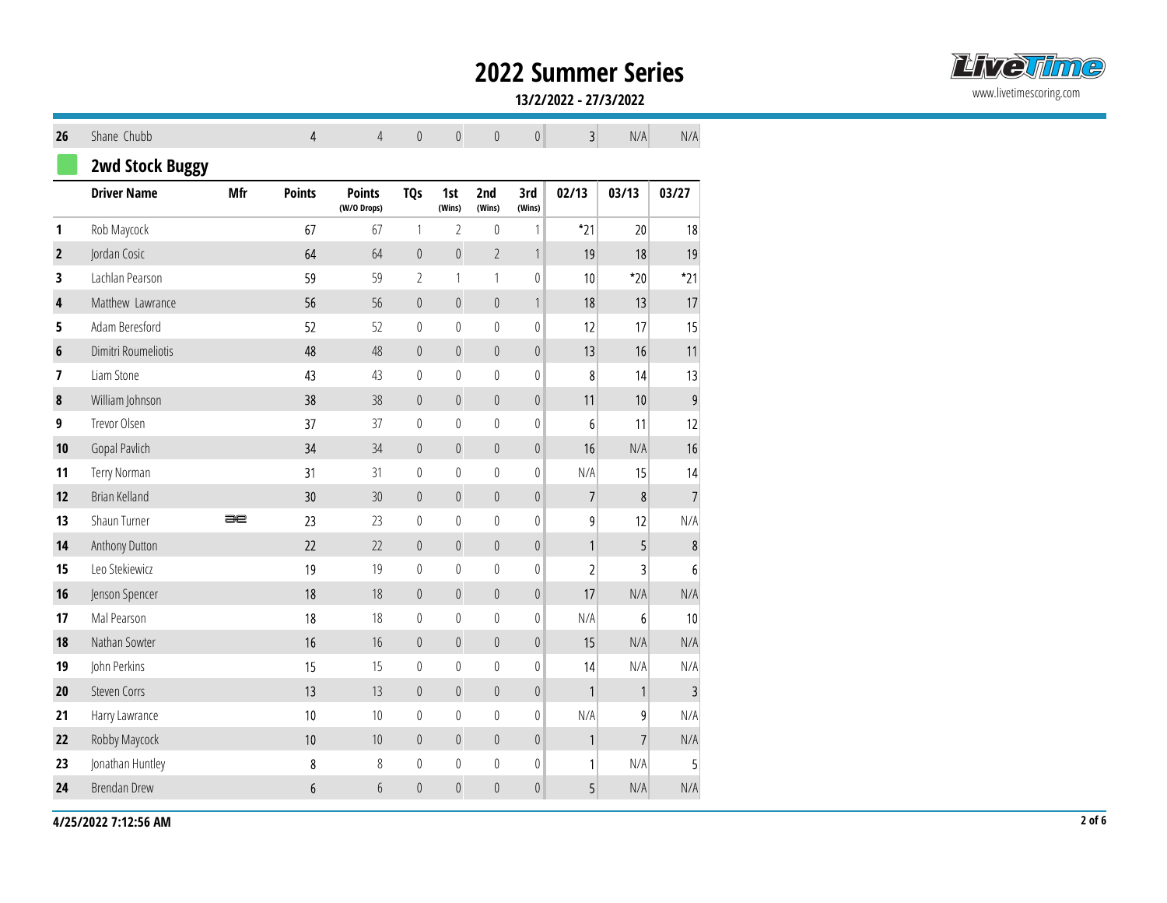

#### 13/2/2022 - 27/3/2022

|                         |                        |     |                 |                   |                |                          |                       |                            | <b>2022 Summer Series</b> |                |                  |
|-------------------------|------------------------|-----|-----------------|-------------------|----------------|--------------------------|-----------------------|----------------------------|---------------------------|----------------|------------------|
|                         |                        |     |                 |                   |                |                          |                       |                            | 13/2/2022 - 27/3/2022     |                |                  |
|                         |                        |     |                 |                   |                |                          |                       |                            |                           |                |                  |
| 26                      | Shane Chubb            |     | $\overline{4}$  | $\overline{4}$    | $\mathbb O$    | $\mathbb O$              | $\mathbb O$           | $\overline{0}$             | 3                         | N/A            | N/A              |
|                         | <b>2wd Stock Buggy</b> |     |                 |                   |                |                          |                       |                            |                           |                |                  |
|                         | <b>Driver Name</b>     | Mfr | <b>Points</b>   | <b>Points</b>     | <b>TQs</b>     | 1st                      | 2nd                   | 3rd                        | 02/13                     | 03/13          | 03/27            |
| $\mathbf{1}$            | Rob Maycock            |     | 67              | (W/O Drops)<br>67 | $\mathbf{1}$   | (Wins)<br>$\overline{2}$ | (Wins)<br>$\mathbf 0$ | (Wins)<br>$\left  \right $ | $*_{21}$                  | 20             | 18               |
| $\overline{2}$          | Jordan Cosic           |     | $64\,$          | 64                | $\overline{0}$ | $\boldsymbol{0}$         | $\overline{2}$        | $\mathbf{1}$               | 19                        | 18             | 19               |
| $\overline{\mathbf{3}}$ | Lachlan Pearson        |     | 59              | 59                | $\overline{2}$ | $\mathbf{1}$             | $\overline{1}$        | 0                          | 10                        | $^*20$         | $*21$            |
| $\overline{\mathbf{r}}$ | Matthew Lawrance       |     | 56              | 56                | $\mathbb O$    | $\boldsymbol{0}$         | $\mathbb O$           | 1                          | 18                        | 13             | 17               |
| 5                       | Adam Beresford         |     | 52              | 52                | $\overline{0}$ | $\mathbf 0$              | $\mathbf 0$           | 0                          | 12                        | 17             | 15               |
| $6\phantom{1}6$         | Dimitri Roumeliotis    |     | 48              | $48\,$            | $\mathbb{0}$   | $\boldsymbol{0}$         | $\mathbb O$           | $\vert 0 \vert$            | 13                        | 16             | 11               |
| $\overline{\mathbf{z}}$ | Liam Stone             |     | 43              | 43                | $\mathbb O$    | $\mathbf 0$              | $\mathbb O$           | 0                          | 8                         | 14             | 13               |
| $\boldsymbol{8}$        | William Johnson        |     | 38              | 38                | $\mathbb{0}$   | $\boldsymbol{0}$         | $\mathbb O$           | 0                          | 11                        | 10             | $\overline{9}$   |
| 9                       | Trevor Olsen           |     | 37              | 37                | $\overline{0}$ | $\mathbf 0$              | $\mathbb O$           | 0                          | 6 <sup>1</sup>            | 11             | 12               |
| 10                      | Gopal Pavlich          |     | $34$            | 34                | $\mathbf{0}$   | $\mathbf{0}$             | $\mathbb O$           | $\vert 0 \vert$            | 16                        | N/A            | 16               |
| 11                      | Terry Norman           |     | 31              | 31                | $\mathbb O$    | $\mathbf 0$              | $\mathbb O$           | 0                          | N/A                       | 15             | 14               |
| 12                      | Brian Kelland          |     | $30\,$          | $30\,$            | $\mathbb O$    | $\boldsymbol{0}$         | $\mathbb O$           | 0                          | 7                         | 8 <sup>1</sup> | $\overline{7}$   |
| 13                      | Shaun Turner           | æ   | 23              | 23                | $\mathbb{0}$   | $\boldsymbol{0}$         | $\mathbf 0$           | 0                          | 9                         | 12             | N/A              |
| 14                      | Anthony Dutton         |     | $22\,$          | 22                | $\mathbb O$    | $\boldsymbol{0}$         | $\mathbb{0}$          | $\vert 0 \vert$            |                           | 5 <sup>1</sup> | $\bf 8$          |
| 15                      | Leo Stekiewicz         |     | 19              | 19                | $\mathbb{0}$   | $\boldsymbol{0}$         | $\mathbb O$           | 0                          | $\overline{2}$            | $\vert$ 3      | $6 \overline{6}$ |
| 16                      | Jenson Spencer         |     | $18\,$          | $18$              | $\mathbb O$    | $\boldsymbol{0}$         | $\mathbb{0}$          | 0                          | 17                        | N/A            | N/A              |
| 17                      | Mal Pearson            |     | 18              | $18\,$            | $\mathbb{0}$   | $\boldsymbol{0}$         | $\,0\,$               | $\overline{0}$             | N/A                       | 6              | 10               |
| 18                      | Nathan Sowter          |     | $16\,$          | $16\,$            | $\mathbb O$    | $\boldsymbol{0}$         | $\mathbb{0}$          | $\vert 0 \vert$            | 15                        | N/A            | N/A              |
| 19                      | John Perkins           |     | 15              | 15                | $\mathbb{0}$   | $\mathbb{0}$             | $\mathbb{0}$          | 0                          | 14                        | N/A            | N/A              |
| 20                      | Steven Corrs           |     | 13              | 13                | $\mathbb O$    | $\boldsymbol{0}$         | $\mathbb{0}$          | $\vert 0 \vert$            | $\vert$                   | $\vert$        | $\overline{3}$   |
| 21                      | Harry Lawrance         |     | $10\,$          | $10\,$            | $\mathbb O$    | $\boldsymbol{0}$         | $\,0\,$               | $\overline{0}$             | N/A                       | 9              | N/A              |
| 22                      | Robby Maycock          |     | $10\,$          | $10\,$            | $\mathbb O$    | $\boldsymbol{0}$         | $\mathbb O$           | $\vert 0 \vert$            | $\mathbf{1}$              | $\overline{7}$ | N/A              |
| 23                      | Jonathan Huntley       |     | $\bf 8$         | $\, 8$            | $\mathbb{0}$   | $\mathbb{0}$             | $\mathbb O$           | 0                          | 1 <sup>1</sup>            | N/A            | $5\overline{)}$  |
| 24                      | Brendan Drew           |     | $6\phantom{.0}$ | $6\,$             | $\mathbb O$    | $\boldsymbol{0}$         | $\mathbb O$           | $\overline{0}$             | 5 <sup>1</sup>            | N/A            | N/A              |

4/25/2022 7:12:56 AM 2 of 6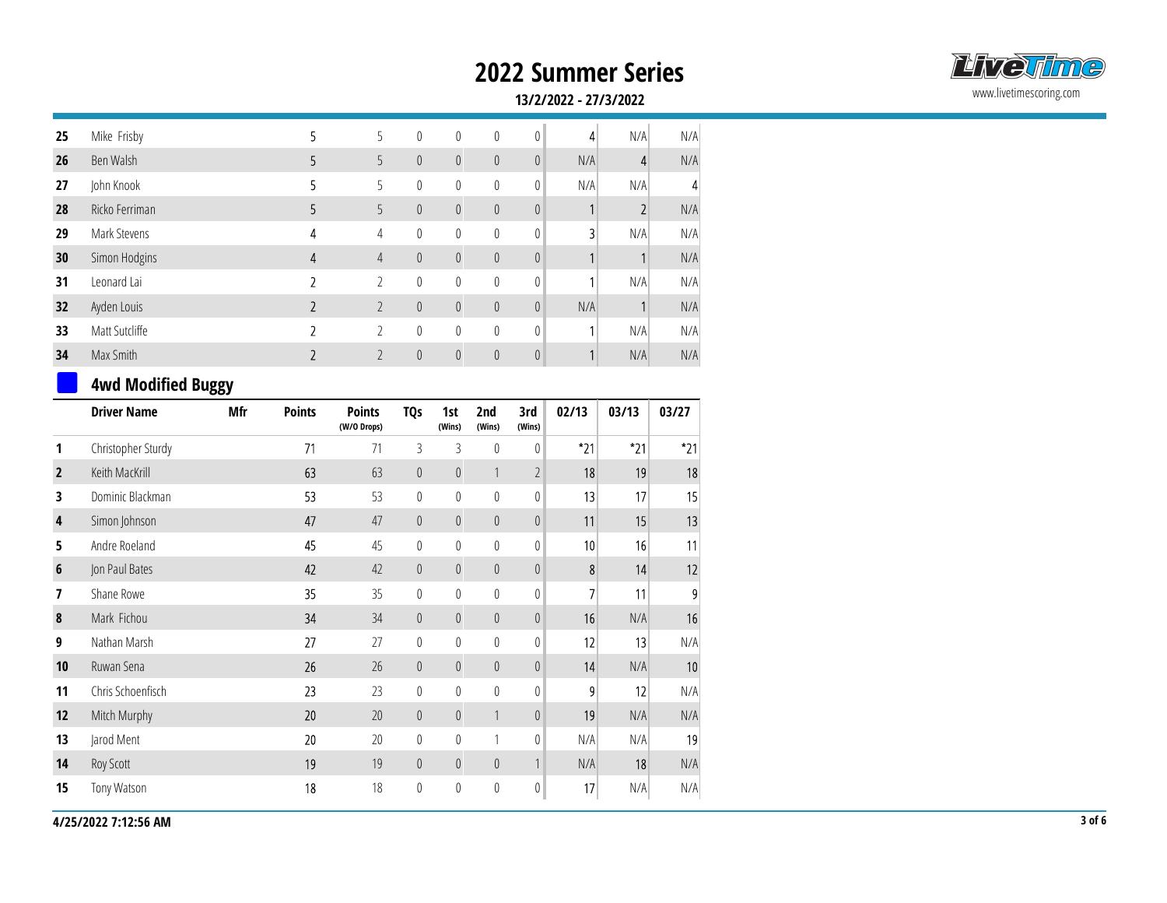

|                         |                           |            |                |                              |              |                |                |                | <b>2022 Summer Series</b> |                |          |
|-------------------------|---------------------------|------------|----------------|------------------------------|--------------|----------------|----------------|----------------|---------------------------|----------------|----------|
|                         |                           |            |                |                              |              |                |                |                | 13/2/2022 - 27/3/2022     |                |          |
| 25                      | Mike Frisby               |            | 5              | 5                            | $\mathbf{0}$ | $\mathbf{0}$   | $\mathbb{0}$   | $\mathbf{0}$   | 4                         | N/A            | N/A      |
| 26                      | Ben Walsh                 |            | 5              | 5                            | $\mathbf{0}$ | $\mathbf{0}$   | $\overline{0}$ | $\theta$       | N/A                       | 4              | N/A      |
| 27                      | John Knook                |            | 5.             | 5                            | $\mathbf 0$  | $\mathbf 0$    | $\mathbb{0}$   | $\overline{0}$ | N/A                       | N/A            |          |
| 28                      | Ricko Ferriman            |            | 5              | 5                            | $\mathbf{0}$ | $\overline{0}$ | $\mathbb O$    | $\theta$       |                           | $\overline{2}$ | N/A      |
| 29                      | Mark Stevens              |            | 4              | 4                            | $\mathbf 0$  | $\mathbf 0$    | $\mathbf 0$    | $\mathbf 0$    | 3                         | N/A            | N/A      |
| 30                      | Simon Hodgins             |            | 4              | $\overline{4}$               | $\mathbf{0}$ | $\overline{0}$ | $\mathbb O$    | $\theta$       |                           |                | N/A      |
| 31                      | Leonard Lai               |            | $\overline{2}$ | $\overline{2}$               | 0            | 0              | $\pmb{0}$      | $\overline{0}$ |                           | N/A            | N/A      |
| 32                      | Ayden Louis               |            | $\overline{2}$ | $\overline{2}$               | $\mathbf 0$  | $\mathbf{0}$   | $\overline{0}$ | $\theta$       | N/A                       |                | N/A      |
| 33                      | Matt Sutcliffe            |            | $\overline{2}$ | $\overline{2}$               | $\mathbf 0$  | $\mathbf 0$    | $\mathbf 0$    | $\mathbf{0}$   |                           | N/A            | N/A      |
| 34                      | Max Smith                 |            | $\overline{2}$ | $\overline{2}$               | $\mathbf{0}$ | $\overline{0}$ | $\overline{0}$ | $\theta$       |                           | N/A            | N/A      |
|                         | <b>4wd Modified Buggy</b> |            |                |                              |              |                |                |                |                           |                |          |
|                         | <b>Driver Name</b>        | <b>Mfr</b> | <b>Points</b>  | <b>Points</b><br>(W/O Drops) | <b>TQs</b>   | 1st<br>(Wins)  | 2nd<br>(Wins)  | 3rd<br>(Wins)  | 02/13                     | 03/13          | 03/27    |
| $\mathbf{1}$            | Christopher Sturdy        |            | 71             | 71                           | 3            | 3              | 0              | $\mathbf 0$    | $*_{21}$                  | $*21$          | $*_{21}$ |
| $\overline{2}$          | Keith MacKrill            |            | 63             | 63                           | $\mathbf{0}$ | $\mathbf{0}$   | 1              | $\overline{2}$ | 18                        | 19             | 18       |
| $\overline{\mathbf{3}}$ | Dominic Blackman          |            | 53             | 53                           | $\mathbf{0}$ | $\mathbf{0}$   | $\theta$       | $\theta$       | 13                        | 17             | 15       |
| $\mathbf{A}$            | Cimon lohnson             |            | 17             | $\overline{17}$              | $\cap$       | $\cap$         | $\cap$         | $\cap$         | 11                        | 1 <sub>F</sub> | 12       |

### 4WQ MOQITIEU DUSSY

|                         | <b>Driver Name</b> | Mfr | <b>Points</b> | <b>Points</b><br>(W/O Drops) | TQ <sub>s</sub> | 1st<br>(Wins)    | 2nd<br>(Wins)    | 3rd<br>(Wins)  | 02/13          | 03/13 | 03/27 |
|-------------------------|--------------------|-----|---------------|------------------------------|-----------------|------------------|------------------|----------------|----------------|-------|-------|
| 1                       | Christopher Sturdy |     | 71            | 71                           | 3               | 3                | 0                | 0              | $*21$          | $*21$ | $*21$ |
| $\overline{2}$          | Keith MacKrill     |     | 63            | 63                           | $\mathbb O$     | $\boldsymbol{0}$ |                  | $\overline{2}$ | 18             | 19    | 18    |
| 3                       | Dominic Blackman   |     | 53            | 53                           | $\mathbf 0$     | $\theta$         | 0                | 0              | 13             | 17    | 15    |
| $\overline{\mathbf{4}}$ | Simon Johnson      |     | 47            | 47                           | $\theta$        | $\pmb{0}$        | $\boldsymbol{0}$ | $\theta$       | 11             | 15    | 13    |
| 5                       | Andre Roeland      |     | 45            | 45                           | $\mathbf 0$     | $\boldsymbol{0}$ | 0                | $\overline{0}$ | 10             | 16    | 11    |
| $\boldsymbol{6}$        | Jon Paul Bates     |     | 42            | 42                           | $\mathbb O$     | $\boldsymbol{0}$ | $\boldsymbol{0}$ | $\theta$       | 8              | 14    | 12    |
| 7                       | Shane Rowe         |     | 35            | 35                           | 0               | $\boldsymbol{0}$ | $\boldsymbol{0}$ | $\overline{0}$ | 7              | 11    |       |
| $\pmb{8}$               | Mark Fichou        |     | 34            | 34                           | $\mathbf 0$     | $\boldsymbol{0}$ | $\boldsymbol{0}$ | $\theta$       | 16             | N/A   | 16    |
| 9                       | Nathan Marsh       |     | 27            | 27                           | $\mathbf 0$     | $\boldsymbol{0}$ | 0                | $\bf{0}$       | 12             | 13    | N/A   |
| 10                      | Ruwan Sena         |     | 26            | 26                           | $\mathbf 0$     | $\boldsymbol{0}$ | $\boldsymbol{0}$ | $\theta$       | 14             | N/A   | 10    |
| 11                      | Chris Schoenfisch  |     | 23            | 23                           | $\mathbf{0}$    | $\boldsymbol{0}$ | $\boldsymbol{0}$ | $\overline{0}$ | 9 <sub>l</sub> | 12    | N/A   |
| 12                      | Mitch Murphy       |     | 20            | 20                           | $\mathbf 0$     | $\boldsymbol{0}$ |                  | $\theta$       | 19             | N/A   | N/A   |
| 13                      | Jarod Ment         |     | 20            | 20                           | $\mathbf 0$     | $\boldsymbol{0}$ |                  | 0              | N/A            | N/A   | 19    |
| 14                      | Roy Scott          |     | 19            | 19                           | $\mathbf 0$     | $\pmb{0}$        | $\boldsymbol{0}$ |                | N/A            | 18    | N/A   |
| 15                      | Tony Watson        |     | 18            | 18                           | $\mathbf 0$     | $\boldsymbol{0}$ | $\mathbf 0$      | 0              | 17             | N/A   | N/A   |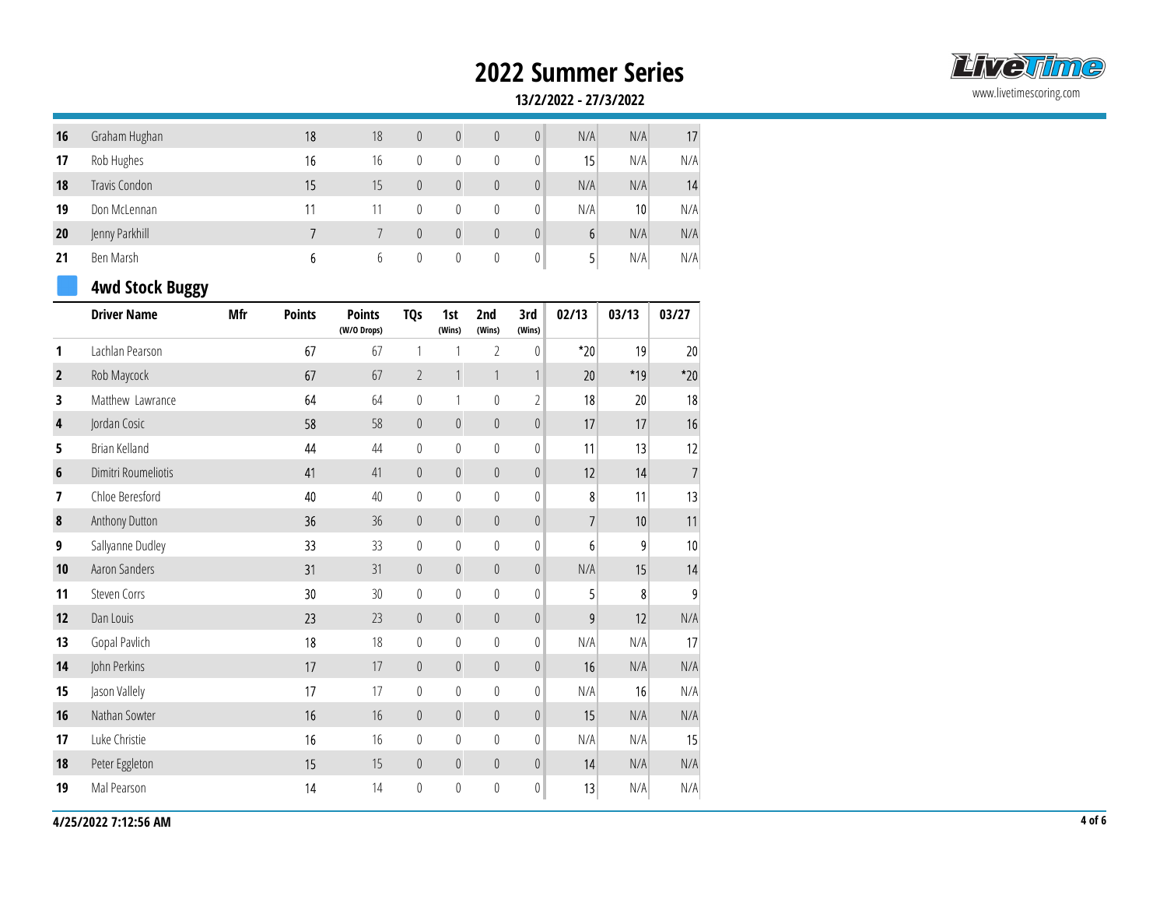

|                |                        |            |                |                              |                |                |               |                | <b>2022 Summer Series</b> |       |                 |
|----------------|------------------------|------------|----------------|------------------------------|----------------|----------------|---------------|----------------|---------------------------|-------|-----------------|
|                |                        |            |                |                              |                |                |               |                | 13/2/2022 - 27/3/2022     |       |                 |
| 16             | Graham Hughan          |            | 18             | 18                           | $\overline{0}$ | $\overline{0}$ | $\mathbb O$   | $\overline{0}$ | N/A                       | N/A   | 17              |
| 17             | Rob Hughes             |            | 16             | 16                           | $\mathbb O$    | $\mathbf 0$    | $\mathbb{0}$  | $\mathbf 0$    | 15                        | N/A   | N/A             |
| 18             | Travis Condon          |            | 15             | 15                           | $\mathbf{0}$   | $\overline{0}$ | $\mathbb O$   | $\overline{0}$ | N/A                       | N/A   | 14              |
| 19             | Don McLennan           |            | 11             | 11                           | $\mathbf{0}$   | $\mathbf{0}$   | $\mathbf 0$   | $\overline{0}$ | N/A                       | 10    | N/A             |
| 20             | Jenny Parkhill         |            | $\overline{7}$ | $7\overline{ }$              | $\overline{0}$ | $\overline{0}$ | $\mathbb O$   | $\theta$       | $6 \overline{6}$          | N/A   | N/A             |
| 21             | Ben Marsh              |            | 6              | $6\phantom{.0}$              | $\mathbf 0$    | $\mathbf 0$    | $\mathbf 0$   | $\mathbf{0}$   | $\mathbf{5}$              | N/A   | N/A             |
|                | <b>4wd Stock Buggy</b> |            |                |                              |                |                |               |                |                           |       |                 |
|                | <b>Driver Name</b>     | <b>Mfr</b> | <b>Points</b>  | <b>Points</b><br>(W/O Drops) | <b>TQs</b>     | 1st<br>(Wins)  | 2nd<br>(Wins) | 3rd<br>(Wins)  | 02/13                     | 03/13 | 03/27           |
| $\mathbf{1}$   | Lachlan Pearson        |            | 67             | 67                           |                |                | 2             | $\theta$       | $*_{20}$                  | 19    | 20              |
| $\overline{2}$ | Rob Maycock            |            | 67             | 67                           | $\overline{2}$ |                |               |                | 20                        | $*19$ | $*20$           |
| 3              | Matthew Lawrance       |            | 64             | 64                           | $\mathbf 0$    |                | $\mathbf 0$   |                | 18                        | 20    | 18              |
| $\blacksquare$ | Jardan Casis           |            | ro.            | $\Gamma$ $\Omega$            | $\sim$         | $\cap$         | $\Omega$      | $\cap$         | 17                        | 17    | 10 <sup>1</sup> |

### 4wd Stock Buggy

|                | <b>Driver Name</b>  | Mfr | <b>Points</b> | <b>Points</b><br>(W/O Drops) | <b>TQs</b>       | 1st<br>(Wins)    | 2nd<br>(Wins)    | 3rd<br>(Wins)    | 02/13          | 03/13 | 03/27    |
|----------------|---------------------|-----|---------------|------------------------------|------------------|------------------|------------------|------------------|----------------|-------|----------|
| 1              | Lachlan Pearson     |     | 67            | 67                           | 1                |                  | $\overline{2}$   | $\mathbf{0}$     | $*20$          | 19    | 20       |
| $\overline{2}$ | Rob Maycock         |     | 67            | 67                           | $\overline{2}$   | $\mathbf{1}$     | $\mathbf{1}$     |                  | 20             | *19   | $*_{20}$ |
| 3              | Matthew Lawrance    |     | 64            | 64                           | $\mathbb O$      | 1                | $\boldsymbol{0}$ | $\overline{2}$   | 18             | 20    | 18       |
| 4              | Jordan Cosic        |     | 58            | 58                           | $\mathbf 0$      | $\mathbb O$      | $\mathbf 0$      | $\theta$         | 17             | 17    | 16       |
| 5              | Brian Kelland       |     | 44            | 44                           | $\boldsymbol{0}$ | $\pmb{0}$        | $\boldsymbol{0}$ | $\mathbb O$      | 11             | 13    | 12       |
| 6              | Dimitri Roumeliotis |     | 41            | 41                           | $\mathbf 0$      | $\boldsymbol{0}$ | $\boldsymbol{0}$ | $\boldsymbol{0}$ | 12             | 14    |          |
| 7              | Chloe Beresford     |     | 40            | 40                           | $\mathbf{0}$     | $\pmb{0}$        | $\mathbf 0$      | $\mathbf{0}$     | 8              | 11    | 13       |
| $\pmb{8}$      | Anthony Dutton      |     | 36            | 36                           | $\mathbf 0$      | $\mathbf 0$      | $\boldsymbol{0}$ | $\mathbf 0$      | $\overline{7}$ | 10    | 11       |
| 9              | Sallyanne Dudley    |     | 33            | 33                           | $\mathbf{0}$     | $\pmb{0}$        | $\mathbf 0$      | $\mathbb O$      | $6 \mid$       | 9     | 10       |
| 10             | Aaron Sanders       |     | 31            | 31                           | $\mathbf 0$      | $\mathbb O$      | $\boldsymbol{0}$ | $\mathbb O$      | N/A            | 15    | 14       |
| 11             | Steven Corrs        |     | 30            | 30                           | $\mathbf 0$      | $\boldsymbol{0}$ | $\boldsymbol{0}$ | $\mathbb O$      | 5 <sup>1</sup> | 8     | 9        |
| 12             | Dan Louis           |     | 23            | 23                           | $\mathbf 0$      | $\mathbb O$      | $\boldsymbol{0}$ | $\theta$         | 9              | 12    | N/A      |
| 13             | Gopal Pavlich       |     | 18            | 18                           | $\mathbb O$      | $\boldsymbol{0}$ | $\boldsymbol{0}$ | $\mathbf{0}$     | N/A            | N/A   | 17       |
| 14             | John Perkins        |     | 17            | 17                           | $\mathbf 0$      | $\boldsymbol{0}$ | $\boldsymbol{0}$ | $\theta$         | 16             | N/A   | N/A      |
| 15             | Jason Vallely       |     | 17            | 17                           | $\boldsymbol{0}$ | $\boldsymbol{0}$ | $\boldsymbol{0}$ | $\mathbb O$      | N/A            | 16    | N/A      |
| 16             | Nathan Sowter       |     | 16            | 16                           | $\mathbf 0$      | $\mathbf 0$      | $\mathbf 0$      | $\mathbb O$      | 15             | N/A   | N/A      |
| 17             | Luke Christie       |     | 16            | 16                           | $\mathbf{0}$     | $\pmb{0}$        | $\boldsymbol{0}$ | $\mathbf{0}$     | N/A            | N/A   | 15       |
| 18             | Peter Eggleton      |     | 15            | 15                           | $\overline{0}$   | $\mathbb O$      | $\boldsymbol{0}$ | $\theta$         | 14             | N/A   | N/A      |
| 19             | Mal Pearson         |     | 14            | 14                           | $\mathbf 0$      | $\pmb{0}$        | $\boldsymbol{0}$ | $\mathbf 0$      | 13             | N/A   | N/A      |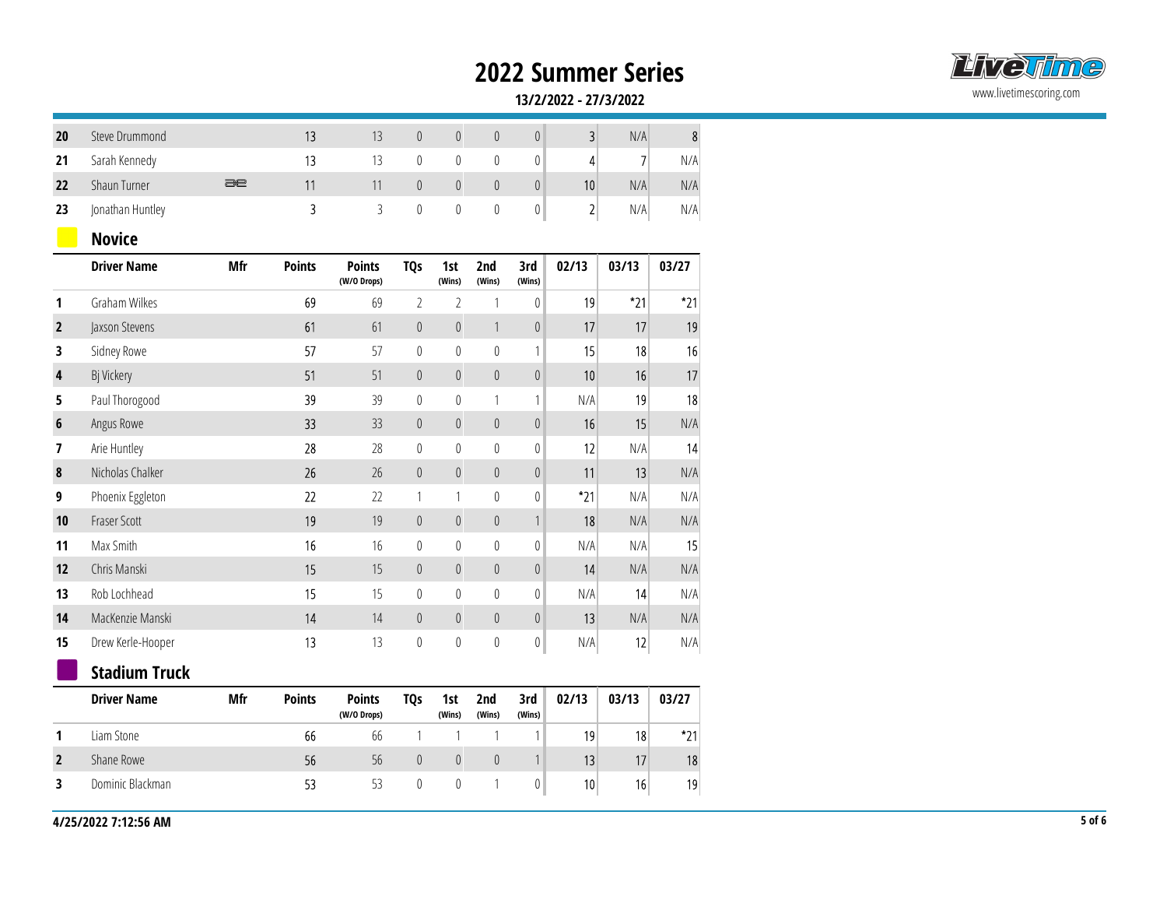

|                         |                      |            |                         |                              |                |                  |                  |                                       | <b>2022 Summer Series</b> |       |                  |
|-------------------------|----------------------|------------|-------------------------|------------------------------|----------------|------------------|------------------|---------------------------------------|---------------------------|-------|------------------|
|                         |                      |            |                         |                              |                |                  |                  |                                       | 13/2/2022 - 27/3/2022     |       |                  |
|                         |                      |            |                         |                              |                |                  |                  |                                       |                           |       |                  |
| 20                      | Steve Drummond       |            | 13                      | 13                           | $\mathbb O$    | $\mathbb O$      | $\mathbb O$      | 0                                     | 3                         | N/A   | $\boldsymbol{8}$ |
| 21                      | Sarah Kennedy        |            | 13                      | 13                           | $\mathbf 0$    | $\mathbb{0}$     | $\mathbb O$      | 0                                     | 4                         | 7     | N/A              |
| 22                      | Shaun Turner         | $\equiv$   | 11                      | 11                           | $\mathbf{0}$   | $\mathbb O$      | $\mathbb O$      | 0                                     | 10                        | N/A   | N/A              |
| 23                      | Jonathan Huntley     |            | $\overline{\mathbf{3}}$ | $\mathfrak{Z}$               | $\mathbb O$    | $\mathbb O$      | $\boldsymbol{0}$ | 0                                     | $2\vert$                  | N/A   | N/A              |
|                         | <b>Novice</b>        |            |                         |                              |                |                  |                  |                                       |                           |       |                  |
|                         | <b>Driver Name</b>   | Mfr        | <b>Points</b>           | <b>Points</b><br>(W/O Drops) | <b>TQs</b>     | 1st<br>(Wins)    | 2nd<br>(Wins)    | 3rd<br>(Wins)                         | 02/13                     | 03/13 | 03/27            |
| 1                       | <b>Graham Wilkes</b> |            | 69                      | 69                           | $2^{\circ}$    | $\overline{2}$   | $\overline{1}$   | 0                                     | 19                        | $*21$ | $*21$            |
| $\overline{2}$          | Jaxson Stevens       |            | 61                      | 61                           | $\mathbb O$    | $\mathbb O$      | $\overline{1}$   | $\mathbb{0}$                          | 17                        | 17    | 19               |
| 3                       | Sidney Rowe          |            | 57                      | 57                           | $\mathbf 0$    | $\mathbb O$      | $\mathbf 0$      | 1 <sup>1</sup>                        | 15                        | 18    | 16               |
| $\overline{\mathbf{4}}$ | Bj Vickery           |            | 51                      | 51                           | $\mathbf{0}$   | $\overline{0}$   | $\mathbb O$      | 0                                     | 10                        | 16    | 17               |
| 5                       | Paul Thorogood       |            | 39                      | 39                           | $\mathbf 0$    | $\mathbb{0}$     | $\overline{1}$   | 1 <sup>1</sup>                        | N/A                       | 19    | 18               |
| $\boldsymbol{6}$        | Angus Rowe           |            | 33 <sup>°</sup>         | 33                           | $\mathbb O$    | $\mathbb O$      | $\mathbb O$      | $\vert 0 \vert$                       | 16                        | 15    | N/A              |
| 7                       | Arie Huntley         |            | 28                      | 28                           | $\mathbf 0$    | $\mathbb O$      | $\mathbb O$      | 0                                     | 12                        | N/A   | 14               |
| $\boldsymbol{8}$        | Nicholas Chalker     |            | 26                      | 26                           | $\mathbb O$    | $\mathbb O$      | $\mathbb O$      | 0                                     | 11                        | 13    | N/A              |
| 9                       | Phoenix Eggleton     |            | 22                      | 22                           | $\mathbf{1}$   | $\mathbf{1}$     | $\mathbb O$      | 0                                     | $*21$                     | N/A   | N/A              |
| 10                      | Fraser Scott         |            | 19                      | 19                           | $\mathbf{0}$   | $\mathbb O$      | $\mathbb O$      | $\overline{\phantom{a}}$              | 18                        | N/A   | N/A              |
| 11                      | Max Smith            |            | 16                      | 16                           | $\mathbf 0$    | 0                | $\mathbb O$      | $\theta$                              | N/A                       | N/A   | 15               |
| 12                      | Chris Manski         |            | 15                      | 15                           | $\theta$       | $\mathbf{0}$     | $\mathbb O$      | 0                                     | 14                        | N/A   | N/A              |
| 13                      | Rob Lochhead         |            | 15                      | 15                           | $\mathbf 0$    | $\mathbf 0$      | $\mathbf 0$      | 0                                     | N/A                       | 14    | N/A              |
| 14                      | MacKenzie Manski     |            | 14                      | 14                           | $\overline{0}$ | $\overline{0}$   | $\mathbb O$      | 0                                     | 13                        | N/A   | N/A              |
| 15                      | Drew Kerle-Hooper    |            | 13                      | 13                           | $\mathbb O$    | $\mathbb{0}$     | $\boldsymbol{0}$ | $\begin{array}{c} \hline \end{array}$ | N/A                       | 12    | N/A              |
|                         | <b>Stadium Truck</b> |            |                         |                              |                |                  |                  |                                       |                           |       |                  |
|                         | <b>Driver Name</b>   | <b>Mfr</b> | <b>Points</b>           | <b>Points</b><br>(W/O Drops) | <b>TQs</b>     | 1st<br>(Wins)    | 2nd<br>(Wins)    | 3rd<br>(Wins)                         | 02/13                     | 03/13 | 03/27            |
| 1                       | Liam Stone           |            | 66                      | 66                           | $\mathbf{1}$   | $\mathbf{1}$     | $\overline{1}$   | 1                                     | 19                        | 18    | $*21$            |
| $\overline{2}$          | Shane Rowe           |            | 56                      | 56                           | $\mathbb O$    | $\mathbb O$      | $\theta$         | $\overline{1}$                        | 13                        | 17    | 18               |
| 3                       | Dominic Blackman     |            | 53                      | 53                           | $\mathbb{0}$   | $\boldsymbol{0}$ | $\mathbf{1}$     | 0                                     | 10                        | 16    | 19               |
|                         |                      |            |                         |                              |                |                  |                  |                                       |                           |       |                  |